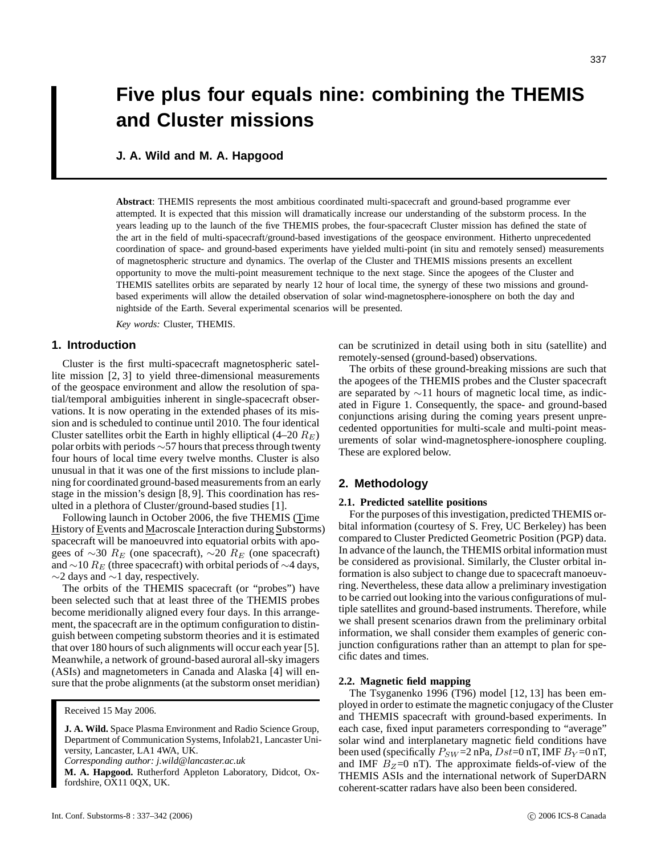# **Five plus four equals nine: combining the THEMIS and Cluster missions**

**J. A. Wild and M. A. Hapgood**

**Abstract**: THEMIS represents the most ambitious coordinated multi-spacecraft and ground-based programme ever attempted. It is expected that this mission will dramatically increase our understanding of the substorm process. In the years leading up to the launch of the five THEMIS probes, the four-spacecraft Cluster mission has defined the state of the art in the field of multi-spacecraft/ground-based investigations of the geospace environment. Hitherto unprecedented coordination of space- and ground-based experiments have yielded multi-point (in situ and remotely sensed) measurements of magnetospheric structure and dynamics. The overlap of the Cluster and THEMIS missions presents an excellent opportunity to move the multi-point measurement technique to the next stage. Since the apogees of the Cluster and THEMIS satellites orbits are separated by nearly 12 hour of local time, the synergy of these two missions and groundbased experiments will allow the detailed observation of solar wind-magnetosphere-ionosphere on both the day and nightside of the Earth. Several experimental scenarios will be presented.

*Key words:* Cluster, THEMIS.

# **1. Introduction**

Cluster is the first multi-spacecraft magnetospheric satellite mission [2, 3] to yield three-dimensional measurements of the geospace environment and allow the resolution of spatial/temporal ambiguities inherent in single-spacecraft observations. It is now operating in the extended phases of its mission and is scheduled to continue until 2010. The four identical Cluster satellites orbit the Earth in highly elliptical  $(4–20 R_E)$ polar orbits with periods ∼57 hours that precess through twenty four hours of local time every twelve months. Cluster is also unusual in that it was one of the first missions to include planning for coordinated ground-based measurements from an early stage in the mission's design [8, 9]. This coordination has resulted in a plethora of Cluster/ground-based studies [1].

Following launch in October 2006, the five THEMIS (Time History of Events and Macroscale Interaction during Substorms) spacecraft will be manoeuvred into equatorial orbits with apogees of ∼30  $R_E$  (one spacecraft), ∼20  $R_E$  (one spacecraft) and  $\sim$ 10  $R_E$  (three spacecraft) with orbital periods of  $\sim$ 4 days, ∼2 days and ∼1 day, respectively.

The orbits of the THEMIS spacecraft (or "probes") have been selected such that at least three of the THEMIS probes become meridionally aligned every four days. In this arrangement, the spacecraft are in the optimum configuration to distinguish between competing substorm theories and it is estimated that over 180 hours of such alignments will occur each year [5]. Meanwhile, a network of ground-based auroral all-sky imagers (ASIs) and magnetometers in Canada and Alaska [4] will ensure that the probe alignments (at the substorm onset meridian)

*Corresponding author: j.wild@lancaster.ac.uk*

**M. A. Hapgood.** Rutherford Appleton Laboratory, Didcot, Oxfordshire, OX11 0QX, UK.

can be scrutinized in detail using both in situ (satellite) and remotely-sensed (ground-based) observations.

The orbits of these ground-breaking missions are such that the apogees of the THEMIS probes and the Cluster spacecraft are separated by  $\sim$ 11 hours of magnetic local time, as indicated in Figure 1. Consequently, the space- and ground-based conjunctions arising during the coming years present unprecedented opportunities for multi-scale and multi-point measurements of solar wind-magnetosphere-ionosphere coupling. These are explored below.

# **2. Methodology**

#### **2.1. Predicted satellite positions**

For the purposes of this investigation, predicted THEMIS orbital information (courtesy of S. Frey, UC Berkeley) has been compared to Cluster Predicted Geometric Position (PGP) data. In advance of the launch, the THEMIS orbital information must be considered as provisional. Similarly, the Cluster orbital information is also subject to change due to spacecraft manoeuvring. Nevertheless, these data allow a preliminary investigation to be carried out looking into the various configurations of multiple satellites and ground-based instruments. Therefore, while we shall present scenarios drawn from the preliminary orbital information, we shall consider them examples of generic conjunction configurations rather than an attempt to plan for specific dates and times.

## **2.2. Magnetic field mapping**

The Tsyganenko 1996 (T96) model [12, 13] has been employed in order to estimate the magnetic conjugacy of the Cluster and THEMIS spacecraft with ground-based experiments. In each case, fixed input parameters corresponding to "average" solar wind and interplanetary magnetic field conditions have been used (specifically  $P_{SW} = 2 \text{ nPa}$ ,  $Dst = 0 \text{ nT}$ , IMF  $B_Y = 0 \text{ nT}$ , and IMF  $B_Z=0$  nT). The approximate fields-of-view of the THEMIS ASIs and the international network of SuperDARN coherent-scatter radars have also been been considered.

Received 15 May 2006.

**J. A. Wild.** Space Plasma Environment and Radio Science Group, Department of Communication Systems, Infolab21, Lancaster University, Lancaster, LA1 4WA, UK.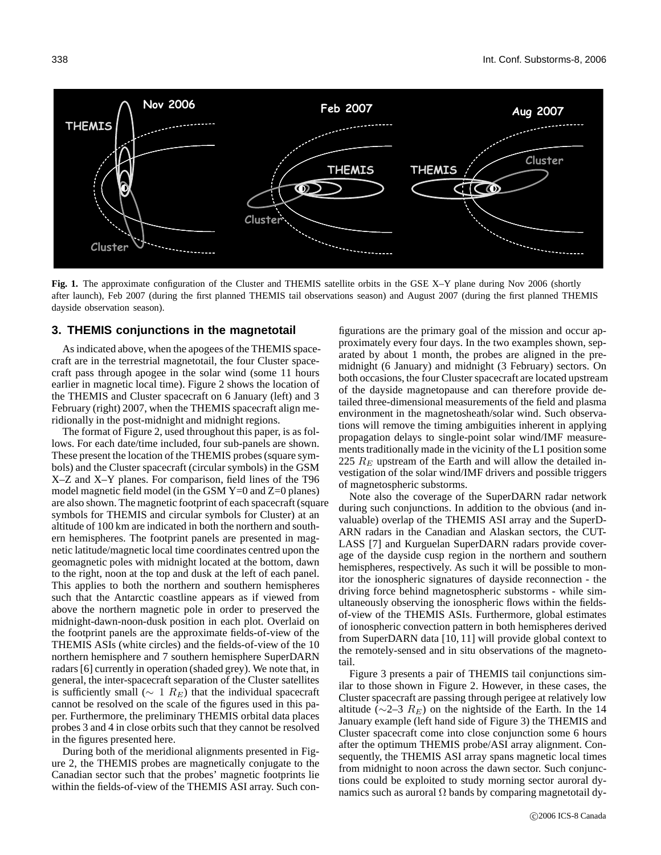

**Fig. 1.** The approximate configuration of the Cluster and THEMIS satellite orbits in the GSE X–Y plane during Nov 2006 (shortly after launch), Feb 2007 (during the first planned THEMIS tail observations season) and August 2007 (during the first planned THEMIS dayside observation season).

#### **3. THEMIS conjunctions in the magnetotail**

As indicated above, when the apogees of the THEMIS spacecraft are in the terrestrial magnetotail, the four Cluster spacecraft pass through apogee in the solar wind (some 11 hours earlier in magnetic local time). Figure 2 shows the location of the THEMIS and Cluster spacecraft on 6 January (left) and 3 February (right) 2007, when the THEMIS spacecraft align meridionally in the post-midnight and midnight regions.

The format of Figure 2, used throughout this paper, is as follows. For each date/time included, four sub-panels are shown. These present the location of the THEMIS probes (square symbols) and the Cluster spacecraft (circular symbols) in the GSM X–Z and X–Y planes. For comparison, field lines of the T96 model magnetic field model (in the GSM Y=0 and Z=0 planes) are also shown. The magnetic footprint of each spacecraft (square symbols for THEMIS and circular symbols for Cluster) at an altitude of 100 km are indicated in both the northern and southern hemispheres. The footprint panels are presented in magnetic latitude/magnetic local time coordinates centred upon the geomagnetic poles with midnight located at the bottom, dawn to the right, noon at the top and dusk at the left of each panel. This applies to both the northern and southern hemispheres such that the Antarctic coastline appears as if viewed from above the northern magnetic pole in order to preserved the midnight-dawn-noon-dusk position in each plot. Overlaid on the footprint panels are the approximate fields-of-view of the THEMIS ASIs (white circles) and the fields-of-view of the 10 northern hemisphere and 7 southern hemisphere SuperDARN radars [6] currently in operation (shaded grey). We note that, in general, the inter-spacecraft separation of the Cluster satellites is sufficiently small ( $\sim 1$  R<sub>E</sub>) that the individual spacecraft cannot be resolved on the scale of the figures used in this paper. Furthermore, the preliminary THEMIS orbital data places probes 3 and 4 in close orbits such that they cannot be resolved in the figures presented here.

During both of the meridional alignments presented in Figure 2, the THEMIS probes are magnetically conjugate to the Canadian sector such that the probes' magnetic footprints lie within the fields-of-view of the THEMIS ASI array. Such con-

figurations are the primary goal of the mission and occur approximately every four days. In the two examples shown, separated by about 1 month, the probes are aligned in the premidnight (6 January) and midnight (3 February) sectors. On both occasions, the four Cluster spacecraft are located upstream of the dayside magnetopause and can therefore provide detailed three-dimensional measurements of the field and plasma environment in the magnetosheath/solar wind. Such observations will remove the timing ambiguities inherent in applying propagation delays to single-point solar wind/IMF measurements traditionally made in the vicinity of the L1 position some 225  $R_E$  upstream of the Earth and will allow the detailed investigation of the solar wind/IMF drivers and possible triggers of magnetospheric substorms.

Note also the coverage of the SuperDARN radar network during such conjunctions. In addition to the obvious (and invaluable) overlap of the THEMIS ASI array and the SuperD-ARN radars in the Canadian and Alaskan sectors, the CUT-LASS [7] and Kurguelan SuperDARN radars provide coverage of the dayside cusp region in the northern and southern hemispheres, respectively. As such it will be possible to monitor the ionospheric signatures of dayside reconnection - the driving force behind magnetospheric substorms - while simultaneously observing the ionospheric flows within the fieldsof-view of the THEMIS ASIs. Furthermore, global estimates of ionospheric convection pattern in both hemispheres derived from SuperDARN data [10, 11] will provide global context to the remotely-sensed and in situ observations of the magnetotail.

Figure 3 presents a pair of THEMIS tail conjunctions similar to those shown in Figure 2. However, in these cases, the Cluster spacecraft are passing through perigee at relatively low altitude ( $\sim$ 2–3  $R_E$ ) on the nightside of the Earth. In the 14 January example (left hand side of Figure 3) the THEMIS and Cluster spacecraft come into close conjunction some 6 hours after the optimum THEMIS probe/ASI array alignment. Consequently, the THEMIS ASI array spans magnetic local times from midnight to noon across the dawn sector. Such conjunctions could be exploited to study morning sector auroral dynamics such as auroral  $\Omega$  bands by comparing magnetotail dy-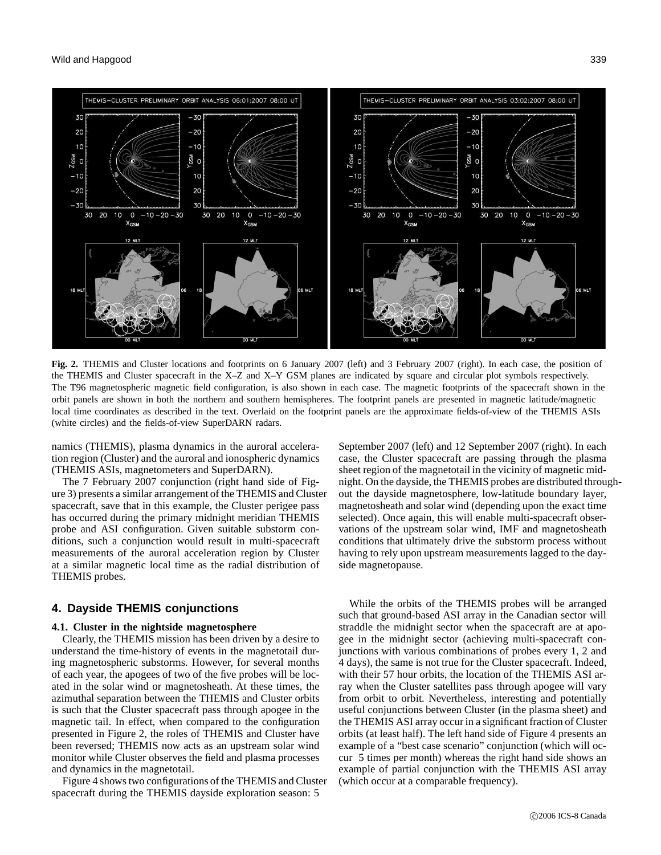

**Fig. 2.** THEMIS and Cluster locations and footprints on 6 January 2007 (left) and 3 February 2007 (right). In each case, the position of the THEMIS and Cluster spacecraft in the X–Z and X–Y GSM planes are indicated by square and circular plot symbols respectively. The T96 magnetospheric magnetic field configuration, is also shown in each case. The magnetic footprints of the spacecraft shown in the orbit panels are shown in both the northern and southern hemispheres. The footprint panels are presented in magnetic latitude/magnetic local time coordinates as described in the text. Overlaid on the footprint panels are the approximate fields-of-view of the THEMIS ASIs (white circles) and the fields-of-view SuperDARN radars.

namics (THEMIS), plasma dynamics in the auroral acceleration region (Cluster) and the auroral and ionospheric dynamics (THEMIS ASIs, magnetometers and SuperDARN).

The 7 February 2007 conjunction (right hand side of Figure 3) presents a similar arrangement of the THEMIS and Cluster spacecraft, save that in this example, the Cluster perigee pass has occurred during the primary midnight meridian THEMIS probe and ASI configuration. Given suitable substorm conditions, such a conjunction would result in multi-spacecraft measurements of the auroral acceleration region by Cluster at a similar magnetic local time as the radial distribution of THEMIS probes.

# **4. Dayside THEMIS conjunctions**

#### **4.1. Cluster in the nightside magnetosphere**

Clearly, the THEMIS mission has been driven by a desire to understand the time-history of events in the magnetotail during magnetospheric substorms. However, for several months of each year, the apogees of two of the five probes will be located in the solar wind or magnetosheath. At these times, the azimuthal separation between the THEMIS and Cluster orbits is such that the Cluster spacecraft pass through apogee in the magnetic tail. In effect, when compared to the configuration presented in Figure 2, the roles of THEMIS and Cluster have been reversed; THEMIS now acts as an upstream solar wind monitor while Cluster observes the field and plasma processes and dynamics in the magnetotail.

Figure 4 shows two configurations of the THEMIS and Cluster spacecraft during the THEMIS dayside exploration season: 5

September 2007 (left) and 12 September 2007 (right). In each case, the Cluster spacecraft are passing through the plasma sheet region of the magnetotail in the vicinity of magnetic midnight. On the dayside, the THEMIS probes are distributed throughout the dayside magnetosphere, low-latitude boundary layer, magnetosheath and solar wind (depending upon the exact time selected). Once again, this will enable multi-spacecraft observations of the upstream solar wind, IMF and magnetosheath conditions that ultimately drive the substorm process without having to rely upon upstream measurements lagged to the dayside magnetopause.

While the orbits of the THEMIS probes will be arranged such that ground-based ASI array in the Canadian sector will straddle the midnight sector when the spacecraft are at apogee in the midnight sector (achieving multi-spacecraft conjunctions with various combinations of probes every 1, 2 and 4 days), the same is not true for the Cluster spacecraft. Indeed, with their 57 hour orbits, the location of the THEMIS ASI array when the Cluster satellites pass through apogee will vary from orbit to orbit. Nevertheless, interesting and potentially useful conjunctions between Cluster (in the plasma sheet) and the THEMIS ASI array occur in a significant fraction of Cluster orbits (at least half). The left hand side of Figure 4 presents an example of a "best case scenario" conjunction (which will occur 5 times per month) whereas the right hand side shows an example of partial conjunction with the THEMIS ASI array (which occur at a comparable frequency).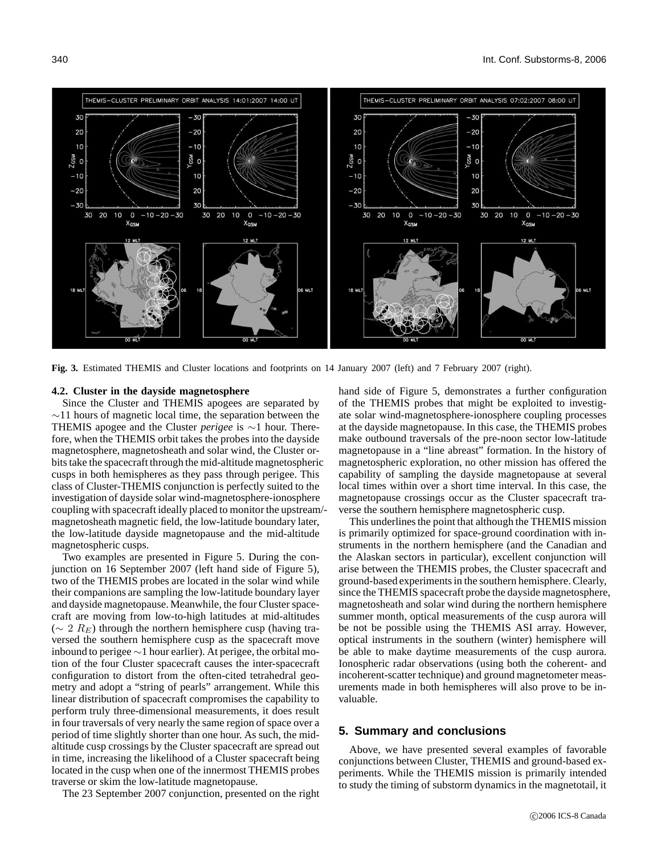

**Fig. 3.** Estimated THEMIS and Cluster locations and footprints on 14 January 2007 (left) and 7 February 2007 (right).

#### **4.2. Cluster in the dayside magnetosphere**

Since the Cluster and THEMIS apogees are separated by  $\sim$ 11 hours of magnetic local time, the separation between the THEMIS apogee and the Cluster *perigee* is ∼1 hour. Therefore, when the THEMIS orbit takes the probes into the dayside magnetosphere, magnetosheath and solar wind, the Cluster orbits take the spacecraft through the mid-altitude magnetospheric cusps in both hemispheres as they pass through perigee. This class of Cluster-THEMIS conjunction is perfectly suited to the investigation of dayside solar wind-magnetosphere-ionosphere coupling with spacecraft ideally placed to monitor the upstream/ magnetosheath magnetic field, the low-latitude boundary later, the low-latitude dayside magnetopause and the mid-altitude magnetospheric cusps.

Two examples are presented in Figure 5. During the conjunction on 16 September 2007 (left hand side of Figure 5), two of the THEMIS probes are located in the solar wind while their companions are sampling the low-latitude boundary layer and dayside magnetopause. Meanwhile, the four Cluster spacecraft are moving from low-to-high latitudes at mid-altitudes  $(\sim 2 R_E)$  through the northern hemisphere cusp (having traversed the southern hemisphere cusp as the spacecraft move inbound to perigee ∼1 hour earlier). At perigee, the orbital motion of the four Cluster spacecraft causes the inter-spacecraft configuration to distort from the often-cited tetrahedral geometry and adopt a "string of pearls" arrangement. While this linear distribution of spacecraft compromises the capability to perform truly three-dimensional measurements, it does result in four traversals of very nearly the same region of space over a period of time slightly shorter than one hour. As such, the midaltitude cusp crossings by the Cluster spacecraft are spread out in time, increasing the likelihood of a Cluster spacecraft being located in the cusp when one of the innermost THEMIS probes traverse or skim the low-latitude magnetopause.

The 23 September 2007 conjunction, presented on the right

hand side of Figure 5, demonstrates a further configuration of the THEMIS probes that might be exploited to investigate solar wind-magnetosphere-ionosphere coupling processes at the dayside magnetopause. In this case, the THEMIS probes make outbound traversals of the pre-noon sector low-latitude magnetopause in a "line abreast" formation. In the history of magnetospheric exploration, no other mission has offered the capability of sampling the dayside magnetopause at several local times within over a short time interval. In this case, the magnetopause crossings occur as the Cluster spacecraft traverse the southern hemisphere magnetospheric cusp.

This underlines the point that although the THEMIS mission is primarily optimized for space-ground coordination with instruments in the northern hemisphere (and the Canadian and the Alaskan sectors in particular), excellent conjunction will arise between the THEMIS probes, the Cluster spacecraft and ground-based experiments in the southern hemisphere. Clearly, since the THEMIS spacecraft probe the dayside magnetosphere, magnetosheath and solar wind during the northern hemisphere summer month, optical measurements of the cusp aurora will be not be possible using the THEMIS ASI array. However, optical instruments in the southern (winter) hemisphere will be able to make daytime measurements of the cusp aurora. Ionospheric radar observations (using both the coherent- and incoherent-scatter technique) and ground magnetometer measurements made in both hemispheres will also prove to be invaluable.

## **5. Summary and conclusions**

Above, we have presented several examples of favorable conjunctions between Cluster, THEMIS and ground-based experiments. While the THEMIS mission is primarily intended to study the timing of substorm dynamics in the magnetotail, it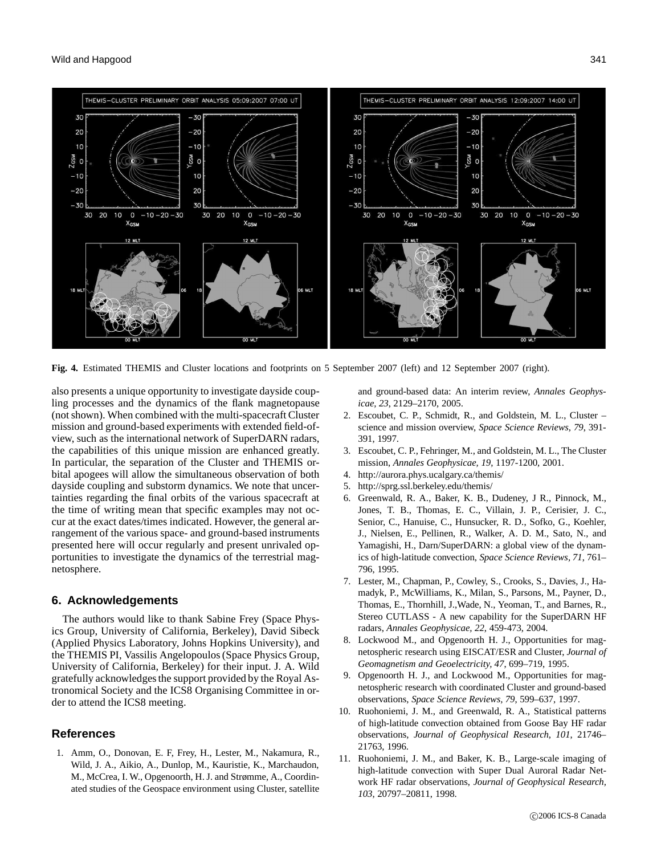

**Fig. 4.** Estimated THEMIS and Cluster locations and footprints on 5 September 2007 (left) and 12 September 2007 (right).

also presents a unique opportunity to investigate dayside coupling processes and the dynamics of the flank magnetopause (not shown). When combined with the multi-spacecraft Cluster mission and ground-based experiments with extended field-ofview, such as the international network of SuperDARN radars, the capabilities of this unique mission are enhanced greatly. In particular, the separation of the Cluster and THEMIS orbital apogees will allow the simultaneous observation of both dayside coupling and substorm dynamics. We note that uncertainties regarding the final orbits of the various spacecraft at the time of writing mean that specific examples may not occur at the exact dates/times indicated. However, the general arrangement of the various space- and ground-based instruments presented here will occur regularly and present unrivaled opportunities to investigate the dynamics of the terrestrial magnetosphere.

# **6. Acknowledgements**

The authors would like to thank Sabine Frey (Space Physics Group, University of California, Berkeley), David Sibeck (Applied Physics Laboratory, Johns Hopkins University), and the THEMIS PI, Vassilis Angelopoulos (Space Physics Group, University of California, Berkeley) for their input. J. A. Wild gratefully acknowledges the support provided by the Royal Astronomical Society and the ICS8 Organising Committee in order to attend the ICS8 meeting.

## **References**

1. Amm, O., Donovan, E. F, Frey, H., Lester, M., Nakamura, R., Wild, J. A., Aikio, A., Dunlop, M., Kauristie, K., Marchaudon, M., McCrea, I. W., Opgenoorth, H. J. and Strømme, A., Coordinated studies of the Geospace environment using Cluster, satellite

and ground-based data: An interim review, *Annales Geophysicae, 23*, 2129–2170, 2005.

- 2. Escoubet, C. P., Schmidt, R., and Goldstein, M. L., Cluster science and mission overview, *Space Science Reviews, 79*, 391- 391, 1997.
- 3. Escoubet, C. P., Fehringer, M., and Goldstein, M. L., The Cluster mission, *Annales Geophysicae, 19*, 1197-1200, 2001.
- 4. http://aurora.phys.ucalgary.ca/themis/
- 5. http://sprg.ssl.berkeley.edu/themis/
- 6. Greenwald, R. A., Baker, K. B., Dudeney, J R., Pinnock, M., Jones, T. B., Thomas, E. C., Villain, J. P., Cerisier, J. C., Senior, C., Hanuise, C., Hunsucker, R. D., Sofko, G., Koehler, J., Nielsen, E., Pellinen, R., Walker, A. D. M., Sato, N., and Yamagishi, H., Darn/SuperDARN: a global view of the dynamics of high-latitude convection, *Space Science Reviews, 71*, 761– 796, 1995.
- 7. Lester, M., Chapman, P., Cowley, S., Crooks, S., Davies, J., Hamadyk, P., McWilliams, K., Milan, S., Parsons, M., Payner, D., Thomas, E., Thornhill, J.,Wade, N., Yeoman, T., and Barnes, R., Stereo CUTLASS - A new capability for the SuperDARN HF radars, *Annales Geophysicae, 22*, 459-473, 2004.
- 8. Lockwood M., and Opgenoorth H. J., Opportunities for magnetospheric research using EISCAT/ESR and Cluster, *Journal of Geomagnetism and Geoelectricity, 47*, 699–719, 1995.
- 9. Opgenoorth H. J., and Lockwood M., Opportunities for magnetospheric research with coordinated Cluster and ground-based observations, *Space Science Reviews, 79*, 599–637, 1997.
- 10. Ruohoniemi, J. M., and Greenwald, R. A., Statistical patterns of high-latitude convection obtained from Goose Bay HF radar observations, *Journal of Geophysical Research, 101*, 21746– 21763, 1996.
- 11. Ruohoniemi, J. M., and Baker, K. B., Large-scale imaging of high-latitude convection with Super Dual Auroral Radar Network HF radar observations, *Journal of Geophysical Research, 103*, 20797–20811, 1998.